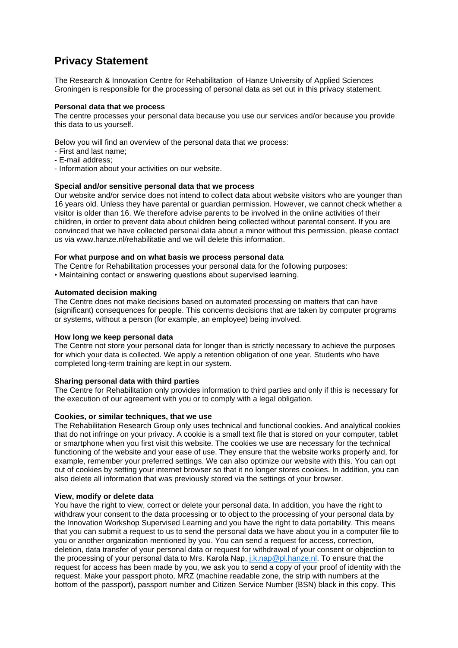# **Privacy Statement**

The Research & Innovation Centre for Rehabilitation of Hanze University of Applied Sciences Groningen is responsible for the processing of personal data as set out in this privacy statement.

### **Personal data that we process**

The centre processes your personal data because you use our services and/or because you provide this data to us yourself.

Below you will find an overview of the personal data that we process:

- First and last name;
- E-mail address;
- Information about your activities on our website.

## **Special and/or sensitive personal data that we process**

Our website and/or service does not intend to collect data about website visitors who are younger than 16 years old. Unless they have parental or guardian permission. However, we cannot check whether a visitor is older than 16. We therefore advise parents to be involved in the online activities of their children, in order to prevent data about children being collected without parental consent. If you are convinced that we have collected personal data about a minor without this permission, please contact us via www.hanze.nl/rehabilitatie and we will delete this information.

### **For what purpose and on what basis we process personal data**

The Centre for Rehabilitation processes your personal data for the following purposes:

• Maintaining contact or answering questions about supervised learning.

## **Automated decision making**

The Centre does not make decisions based on automated processing on matters that can have (significant) consequences for people. This concerns decisions that are taken by computer programs or systems, without a person (for example, an employee) being involved.

#### **How long we keep personal data**

The Centre not store your personal data for longer than is strictly necessary to achieve the purposes for which your data is collected. We apply a retention obligation of one year. Students who have completed long-term training are kept in our system.

#### **Sharing personal data with third parties**

The Centre for Rehabilitation only provides information to third parties and only if this is necessary for the execution of our agreement with you or to comply with a legal obligation.

#### **Cookies, or similar techniques, that we use**

The Rehabilitation Research Group only uses technical and functional cookies. And analytical cookies that do not infringe on your privacy. A cookie is a small text file that is stored on your computer, tablet or smartphone when you first visit this website. The cookies we use are necessary for the technical functioning of the website and your ease of use. They ensure that the website works properly and, for example, remember your preferred settings. We can also optimize our website with this. You can opt out of cookies by setting your internet browser so that it no longer stores cookies. In addition, you can also delete all information that was previously stored via the settings of your browser.

#### **View, modify or delete data**

You have the right to view, correct or delete your personal data. In addition, you have the right to withdraw your consent to the data processing or to object to the processing of your personal data by the Innovation Workshop Supervised Learning and you have the right to data portability. This means that you can submit a request to us to send the personal data we have about you in a computer file to you or another organization mentioned by you. You can send a request for access, correction, deletion, data transfer of your personal data or request for withdrawal of your consent or objection to the processing of your personal data to Mrs. Karola Nap, *j.k.nap@pl.hanze.nl*. To ensure that the request for access has been made by you, we ask you to send a copy of your proof of identity with the request. Make your passport photo, MRZ (machine readable zone, the strip with numbers at the bottom of the passport), passport number and Citizen Service Number (BSN) black in this copy. This